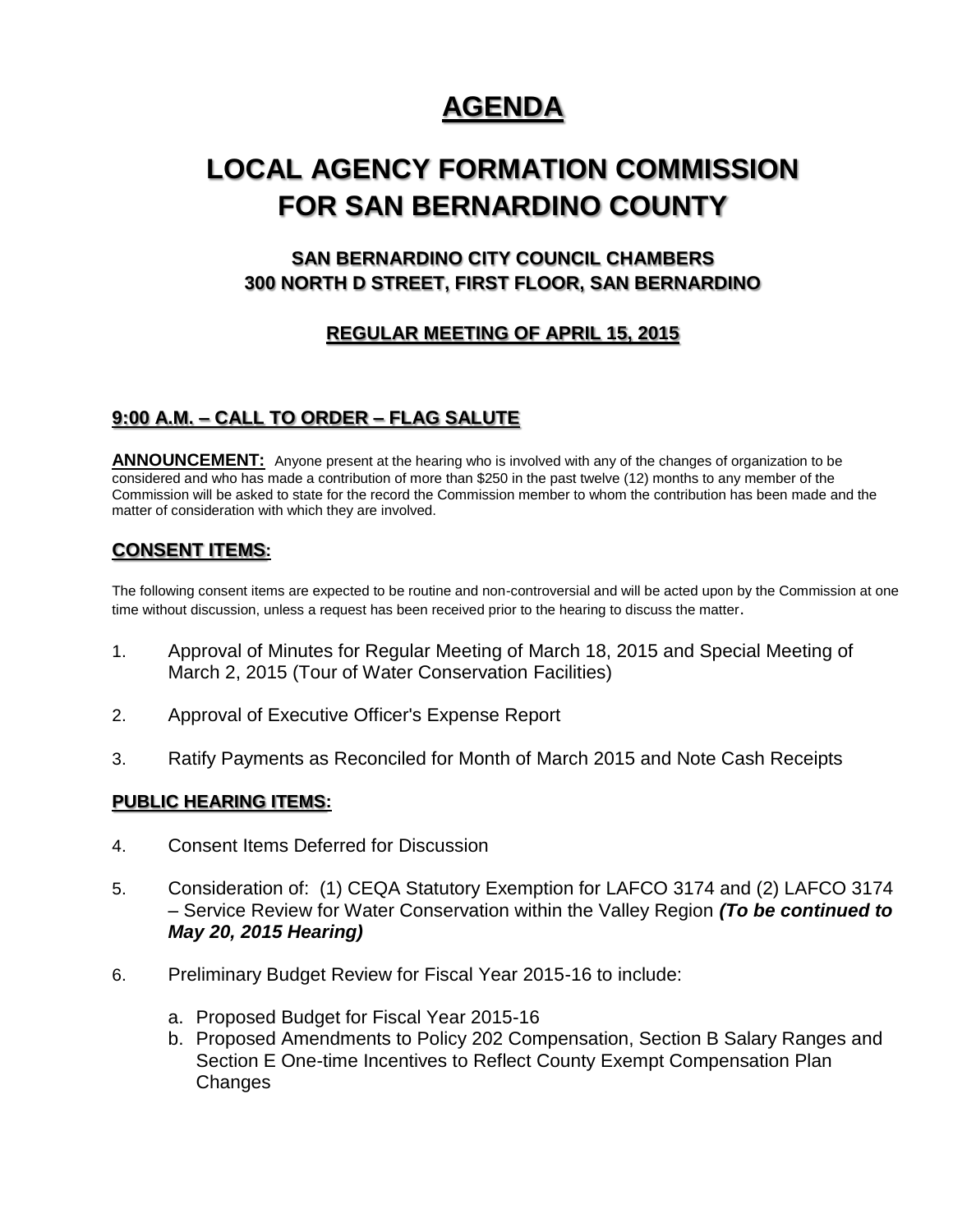## **AGENDA**

# **LOCAL AGENCY FORMATION COMMISSION FOR SAN BERNARDINO COUNTY**

## **SAN BERNARDINO CITY COUNCIL CHAMBERS 300 NORTH D STREET, FIRST FLOOR, SAN BERNARDINO**

## **REGULAR MEETING OF APRIL 15, 2015**

## **9:00 A.M. – CALL TO ORDER – FLAG SALUTE**

**ANNOUNCEMENT:** Anyone present at the hearing who is involved with any of the changes of organization to be considered and who has made a contribution of more than \$250 in the past twelve (12) months to any member of the Commission will be asked to state for the record the Commission member to whom the contribution has been made and the matter of consideration with which they are involved.

### **CONSENT ITEMS:**

The following consent items are expected to be routine and non-controversial and will be acted upon by the Commission at one time without discussion, unless a request has been received prior to the hearing to discuss the matter.

- 1. Approval of Minutes for Regular Meeting of March 18, 2015 and Special Meeting of March 2, 2015 (Tour of Water Conservation Facilities)
- 2. Approval of Executive Officer's Expense Report
- 3. Ratify Payments as Reconciled for Month of March 2015 and Note Cash Receipts

#### **PUBLIC HEARING ITEMS:**

- 4. Consent Items Deferred for Discussion
- 5. Consideration of: (1) CEQA Statutory Exemption for LAFCO 3174 and (2) LAFCO 3174 – Service Review for Water Conservation within the Valley Region *(To be continued to May 20, 2015 Hearing)*
- 6. Preliminary Budget Review for Fiscal Year 2015-16 to include:
	- a. Proposed Budget for Fiscal Year 2015-16
	- b. Proposed Amendments to Policy 202 Compensation, Section B Salary Ranges and Section E One-time Incentives to Reflect County Exempt Compensation Plan Changes